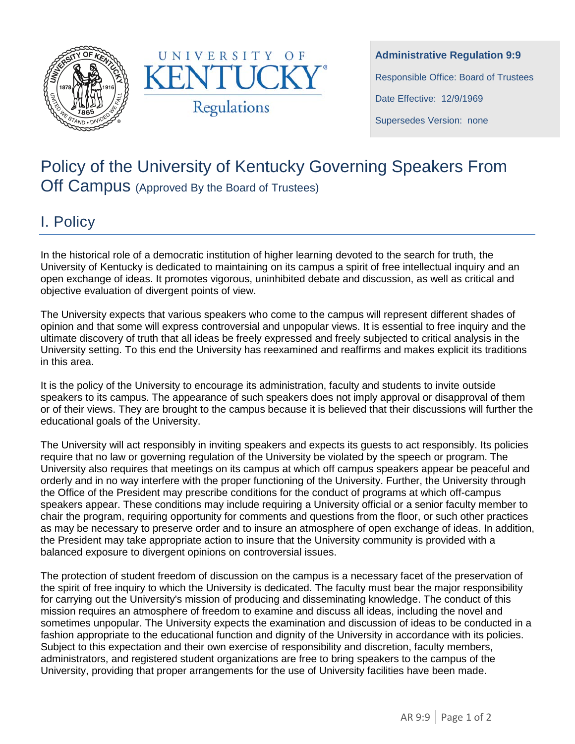



**Administrative Regulation 9:9** Responsible Office: Board of Trustees Date Effective: 12/9/1969 Supersedes Version: none

## Policy of the University of Kentucky Governing Speakers From Off Campus (Approved By the Board of Trustees)

## I. Policy

In the historical role of a democratic institution of higher learning devoted to the search for truth, the University of Kentucky is dedicated to maintaining on its campus a spirit of free intellectual inquiry and an open exchange of ideas. It promotes vigorous, uninhibited debate and discussion, as well as critical and objective evaluation of divergent points of view.

The University expects that various speakers who come to the campus will represent different shades of opinion and that some will express controversial and unpopular views. It is essential to free inquiry and the ultimate discovery of truth that all ideas be freely expressed and freely subjected to critical analysis in the University setting. To this end the University has reexamined and reaffirms and makes explicit its traditions in this area.

It is the policy of the University to encourage its administration, faculty and students to invite outside speakers to its campus. The appearance of such speakers does not imply approval or disapproval of them or of their views. They are brought to the campus because it is believed that their discussions will further the educational goals of the University.

The University will act responsibly in inviting speakers and expects its guests to act responsibly. Its policies require that no law or governing regulation of the University be violated by the speech or program. The University also requires that meetings on its campus at which off campus speakers appear be peaceful and orderly and in no way interfere with the proper functioning of the University. Further, the University through the Office of the President may prescribe conditions for the conduct of programs at which off-campus speakers appear. These conditions may include requiring a University official or a senior faculty member to chair the program, requiring opportunity for comments and questions from the floor, or such other practices as may be necessary to preserve order and to insure an atmosphere of open exchange of ideas. In addition, the President may take appropriate action to insure that the University community is provided with a balanced exposure to divergent opinions on controversial issues.

The protection of student freedom of discussion on the campus is a necessary facet of the preservation of the spirit of free inquiry to which the University is dedicated. The faculty must bear the major responsibility for carrying out the University's mission of producing and disseminating knowledge. The conduct of this mission requires an atmosphere of freedom to examine and discuss all ideas, including the novel and sometimes unpopular. The University expects the examination and discussion of ideas to be conducted in a fashion appropriate to the educational function and dignity of the University in accordance with its policies. Subject to this expectation and their own exercise of responsibility and discretion, faculty members, administrators, and registered student organizations are free to bring speakers to the campus of the University, providing that proper arrangements for the use of University facilities have been made.